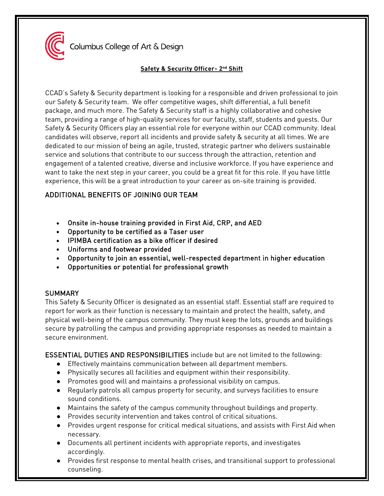

Columbus College of Art & Design

#### **Safety & Security Officer- 2nd Shift**

CCAD's Safety & Security department is looking for a responsible and driven professional to join our Safety & Security team. We offer competitive wages, shift differential, a full benefit package, and much more. The Safety & Security staff is a highly collaborative and cohesive team, providing a range of high-quality services for our faculty, staff, students and guests. Our Safety & Security Officers play an essential role for everyone within our CCAD community. Ideal candidates will observe, report all incidents and provide safety & security at all times. We are dedicated to our mission of being an agile, trusted, strategic partner who delivers sustainable service and solutions that contribute to our success through the attraction, retention and engagement of a talented creative, diverse and inclusive workforce. If you have experience and want to take the next step in your career, you could be a great fit for this role. If you have little experience, this will be a great introduction to your career as on-site training is provided.

# ADDITIONAL BENEFITS OF JOINING OUR TEAM

- Onsite in-house training provided in First Aid, CRP, and AED
- Opportunity to be certified as a Taser user
- IPIMBA certification as a bike officer if desired
- Uniforms and footwear provided
- Opportunity to join an essential, well-respected department in higher education
- Opportunities or potential for professional growth

## **SUMMARY**

This Safety & Security Officer is designated as an essential staff. Essential staff are required to report for work as their function is necessary to maintain and protect the health, safety, and physical well-being of the campus community. They must keep the lots, grounds and buildings secure by patrolling the campus and providing appropriate responses as needed to maintain a secure environment.

ESSENTIAL DUTIES AND RESPONSIBILITIES include but are not limited to the following:

- Effectively maintains communication between all department members.
- Physically secures all facilities and equipment within their responsibility.
- Promotes good will and maintains a professional visibility on campus.
- Regularly patrols all campus property for security, and surveys facilities to ensure sound conditions.
- Maintains the safety of the campus community throughout buildings and property.
- Provides security intervention and takes control of critical situations.
- Provides urgent response for critical medical situations, and assists with First Aid when necessary.
- Documents all pertinent incidents with appropriate reports, and investigates accordingly.
- Provides first response to mental health crises, and transitional support to professional counseling.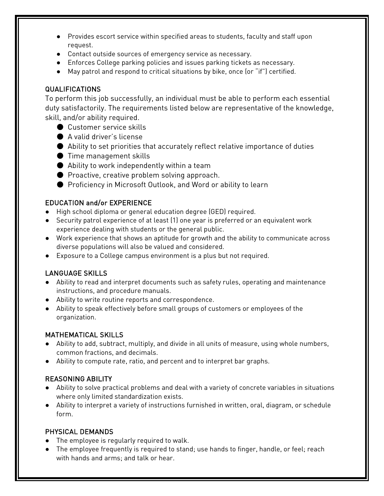- Provides escort service within specified areas to students, faculty and staff upon request.
- Contact outside sources of emergency service as necessary.
- Enforces College parking policies and issues parking tickets as necessary.
- May patrol and respond to critical situations by bike, once (or "if") certified.

## QUALIFICATIONS

To perform this job successfully, an individual must be able to perform each essential duty satisfactorily. The requirements listed below are representative of the knowledge, skill, and/or ability required.

- Customer service skills
- A valid driver's license
- Ability to set priorities that accurately reflect relative importance of duties
- Time management skills
- $\bullet$  Ability to work independently within a team
- Proactive, creative problem solving approach.
- Proficiency in Microsoft Outlook, and Word or ability to learn

# EDUCATION and/or EXPERIENCE

- High school diploma or general education degree (GED) required.
- Security patrol experience of at least (1) one year is preferred or an equivalent work experience dealing with students or the general public.
- Work experience that shows an aptitude for growth and the ability to communicate across diverse populations will also be valued and considered.
- Exposure to a College campus environment is a plus but not required.

## LANGUAGE SKILLS

- Ability to read and interpret documents such as safety rules, operating and maintenance instructions, and procedure manuals.
- Ability to write routine reports and correspondence.
- Ability to speak effectively before small groups of customers or employees of the organization.

## MATHEMATICAL SKILLS

- Ability to add, subtract, multiply, and divide in all units of measure, using whole numbers, common fractions, and decimals.
- Ability to compute rate, ratio, and percent and to interpret bar graphs.

## REASONING ABILITY

- Ability to solve practical problems and deal with a variety of concrete variables in situations where only limited standardization exists.
- Ability to interpret a variety of instructions furnished in written, oral, diagram, or schedule form.

## PHYSICAL DEMANDS

- The employee is regularly required to walk.
- The employee frequently is required to stand; use hands to finger, handle, or feel; reach with hands and arms; and talk or hear.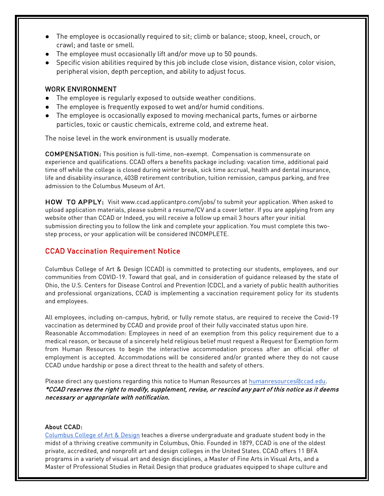- The employee is occasionally required to sit; climb or balance; stoop, kneel, crouch, or crawl; and taste or smell.
- The employee must occasionally lift and/or move up to 50 pounds.
- Specific vision abilities required by this job include close vision, distance vision, color vision, peripheral vision, depth perception, and ability to adjust focus.

#### WORK ENVIRONMENT

- The employee is regularly exposed to outside weather conditions.
- The employee is frequently exposed to wet and/or humid conditions.
- The employee is occasionally exposed to moving mechanical parts, fumes or airborne particles, toxic or caustic chemicals, extreme cold, and extreme heat.

The noise level in the work environment is usually moderate.

COMPENSATION: This position is full-time, non-exempt. Compensation is commensurate on experience and qualifications. CCAD offers a benefits package including: vacation time, additional paid time off while the college is closed during winter break, sick time accrual, health and dental insurance, life and disability insurance, 403B retirement contribution, tuition remission, campus parking, and free admission to the Columbus Museum of Art.

HOW TO APPLY: Visit [www.ccad.applicantpro.com/jobs/ t](http://www.ccad.applicantpro.com/jobs/)o submit your application. When asked to upload application materials, please submit a resume/CV and a cover letter. If you are applying from any website other than CCAD or Indeed, you will receive a follow up email 3 hours after your initial submission directing you to follow the link and complete your application. You must complete this twostep process, or your application will be considered INCOMPLETE.

#### CCAD Vaccination Requirement Notice

Columbus College of Art & Design (CCAD) is committed to protecting our students, employees, and our communities from COVID-19. Toward that goal, and in consideration of guidance released by the state of Ohio, the U.S. Centers for Disease Control and Prevention (CDC), and a variety of public health authorities and professional organizations, CCAD is implementing a vaccination requirement policy for its students and employees.

All employees, including on-campus, hybrid, or fully remote status, are required to receive the Covid-19 vaccination as determined by CCAD and provide proof of their fully vaccinated status upon hire. Reasonable Accommodation: Employees in need of an exemption from this policy requirement due to a medical reason, or because of a sincerely held religious belief must request a Request for Exemption form from Human Resources to begin the interactive accommodation process after an official offer of employment is accepted. Accommodations will be considered and/or granted where they do not cause CCAD undue hardship or pose a direct threat to the health and safety of others.

Please direct any questions regarding this notice to Human Resources at humanresources accad.edu. \*CCAD reserves the right to modify, supplement, revise, or rescind any part of this notice as it deems necessary or appropriate with notification.

#### About CCAD:

[Columbus College of Art & Design](https://www.ccad.edu/) teaches a diverse undergraduate and graduate student body in the midst of a thriving creative community in Columbus, Ohio. Founded in 1879, CCAD is one of the oldest private, accredited, and nonprofit art and design colleges in the United States. CCAD offers 11 BFA programs in a variety of visual art and design disciplines, a Master of Fine Arts in Visual Arts, and a Master of Professional Studies in Retail Design that produce graduates equipped to shape culture and